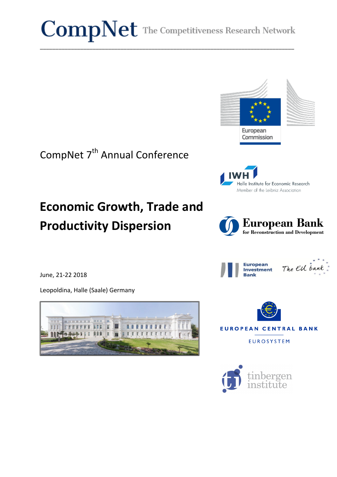$CompNet$  The Competitiveness Research Network

\_\_\_\_\_\_\_\_\_\_\_\_\_\_\_\_\_\_\_\_\_\_\_\_\_\_\_\_\_\_\_\_\_\_\_\_\_\_\_\_\_\_\_\_\_\_\_\_\_\_\_\_\_\_\_\_\_\_\_\_\_\_\_\_\_\_\_\_\_\_\_\_\_\_\_\_\_\_\_\_\_\_



Halle Institute for Economic Research Member of the Leibniz Association







**EUROPEAN CENTRAL BANK** 

**EUROSYSTEM** 



# CompNet 7<sup>th</sup> Annual Conference

# **Economic Growth, Trade and Productivity Dispersion**

June, 21-22 2018

Leopoldina, Halle (Saale) Germany

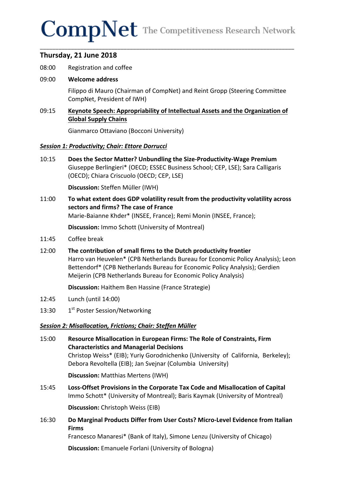# $CompNet$  The Competitiveness Research Network

\_\_\_\_\_\_\_\_\_\_\_\_\_\_\_\_\_\_\_\_\_\_\_\_\_\_\_\_\_\_\_\_\_\_\_\_\_\_\_\_\_\_\_\_\_\_\_\_\_\_\_\_\_\_\_\_\_\_\_\_\_\_\_\_\_\_\_\_\_\_\_\_\_\_\_\_\_\_\_\_\_\_

# **Thursday, 21 June 2018**

08:00 Registration and coffee

#### 09:00 **Welcome address**

Filippo di Mauro (Chairman of CompNet) and Reint Gropp (Steering Committee CompNet, President of IWH)

### 09:15 **Keynote Speech: Appropriability of Intellectual Assets and the Organization of Global Supply Chains**

Gianmarco Ottaviano (Bocconi University)

#### *Session 1: Productivity; Chair: Ettore Dorrucci*

10:15 **Does the Sector Matter? Unbundling the Size-Productivity-Wage Premium** Giuseppe Berlingieri\* (OECD; ESSEC Business School; CEP, LSE); Sara Calligaris (OECD); Chiara Criscuolo (OECD; CEP, LSE)

**Discussion:** Steffen Müller (IWH)

11:00 To what extent does GDP volatility result from the productivity volatility across sectors and firms? The case of France Marie-Baianne Khder\* (INSEE, France); Remi Monin (INSEE, France);

**Discussion:** Immo Schott (University of Montreal)

- 11:45 Coffee break
- 12:00 The contribution of small firms to the Dutch productivity frontier Harro van Heuvelen\* (CPB Netherlands Bureau for Economic Policy Analysis); Leon Bettendorf\* (CPB Netherlands Bureau for Economic Policy Analysis); Gerdien Meijerin (CPB Netherlands Bureau for Economic Policy Analysis)

**Discussion:** Haithem Ben Hassine (France Strategie)

- 12:45 Lunch (until 14:00)
- 13:30 1st Poster Session/Networking

#### **Session 2: Misallocation, Frictions; Chair: Steffen Müller**

15:00 Resource Misallocation in European Firms: The Role of Constraints, Firm **Characteristics and Managerial Decisions** Christop Weiss\* (EIB); Yuriy Gorodnichenko (University of California, Berkeley); Debora Revoltella (EIB); Jan Svejnar (Columbia University)

**Discussion:** Matthias Mertens (IWH)

15:45 **Loss-Offset Provisions in the Corporate Tax Code and Misallocation of Capital** Immo Schott\* (University of Montreal); Baris Kaymak (University of Montreal)

**Discussion:** Christoph Weiss (EIB)

16:30 Do Marginal Products Differ from User Costs? Micro-Level Evidence from Italian **Firms**

Francesco Manaresi\* (Bank of Italy), Simone Lenzu (University of Chicago)

**Discussion:** Emanuele Forlani (University of Bologna)